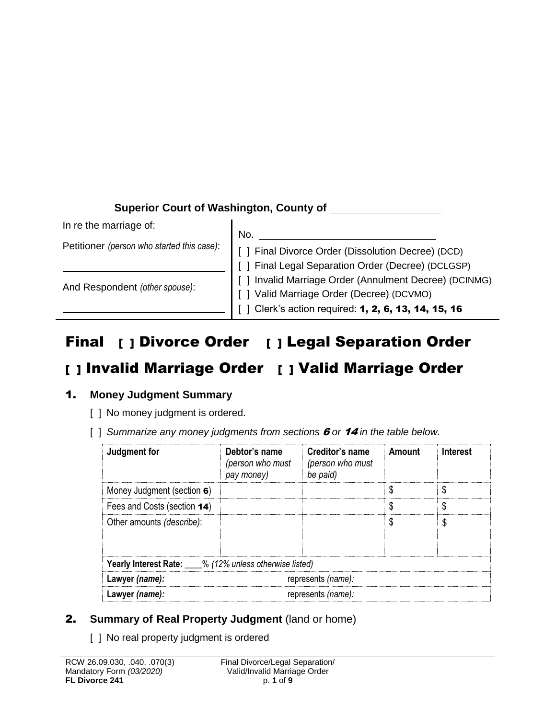## **Superior Court of Washington, County of**

In re the marriage of:

Petitioner *(person who started this case)*:

And Respondent *(other spouse)*:

No. [ ] Final Divorce Order (Dissolution Decree) (DCD) [ ] Final Legal Separation Order (Decree) (DCLGSP) [ ] Invalid Marriage Order (Annulment Decree) (DCINMG) [ ] Valid Marriage Order (Decree) (DCVMO) [ ] Clerk's action required: **1, 2, 6, 13, 14, 15, 16** 

# Final [ ] Divorce Order [ ] Legal Separation Order

# [ ] Invalid Marriage Order [ ] Valid Marriage Order

## 1. **Money Judgment Summary**

- [ ] No money judgment is ordered.
- [ ] *Summarize any money judgments from sections* 6 *or* 14 *in the table below.*

| Judgment for                                                 | Debtor's name<br>(person who must<br>pay money) | Creditor's name<br>(person who must<br>be paid) | Amount | <b>Interest</b> |  |
|--------------------------------------------------------------|-------------------------------------------------|-------------------------------------------------|--------|-----------------|--|
| Money Judgment (section 6)                                   |                                                 |                                                 |        |                 |  |
| Fees and Costs (section 14)                                  |                                                 |                                                 |        |                 |  |
| Other amounts (describe):                                    |                                                 |                                                 |        |                 |  |
| <b>Yearly Interest Rate:</b> 6 (12% unless otherwise listed) |                                                 |                                                 |        |                 |  |
| Lawyer (name):                                               | represents (name):                              |                                                 |        |                 |  |
| Lawyer (name):                                               | represents (name):                              |                                                 |        |                 |  |

## 2. **Summary of Real Property Judgment** (land or home)

[ ] No real property judgment is ordered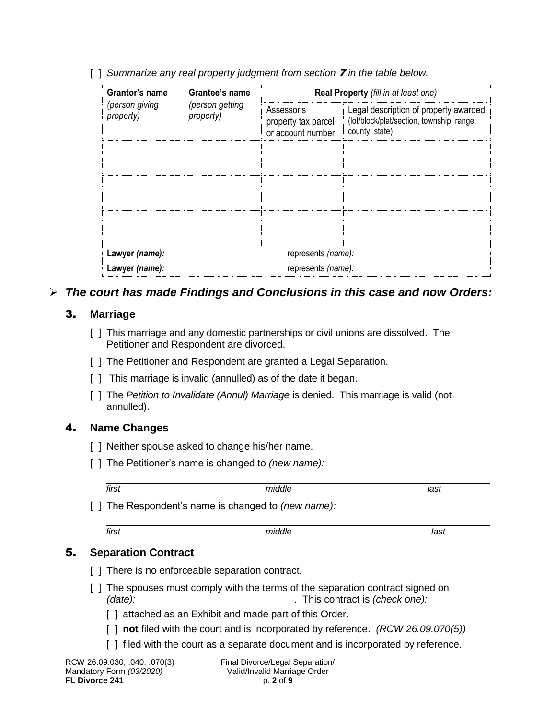|  | [] Summarize any real property judgment from section <b>7</b> in the table below. |  |  |  |
|--|-----------------------------------------------------------------------------------|--|--|--|
|  |                                                                                   |  |  |  |

| Grantor's name              | Grantee's name               | Real Property (fill in at least one)                    |                                                                                                      |  |  |  |
|-----------------------------|------------------------------|---------------------------------------------------------|------------------------------------------------------------------------------------------------------|--|--|--|
| (person giving<br>property) | (person getting<br>property) | Assessor's<br>property tax parcel<br>or account number: | Legal description of property awarded<br>(lot/block/plat/section, township, range,<br>county, state) |  |  |  |
|                             |                              |                                                         |                                                                                                      |  |  |  |
|                             |                              |                                                         |                                                                                                      |  |  |  |
|                             |                              |                                                         |                                                                                                      |  |  |  |
| Lawyer (name):              |                              | represents (name):                                      |                                                                                                      |  |  |  |
| Lawyer (name):              |                              | represents (name):                                      |                                                                                                      |  |  |  |

## *The court has made Findings and Conclusions in this case and now Orders:*

#### 3. **Marriage**

- [ ] This marriage and any domestic partnerships or civil unions are dissolved. The Petitioner and Respondent are divorced.
- [ ] The Petitioner and Respondent are granted a Legal Separation.
- [ ] This marriage is invalid (annulled) as of the date it began.
- [ ] The *Petition to Invalidate (Annul) Marriage* is denied. This marriage is valid (not annulled).

## 4. **Name Changes**

- [ ] Neither spouse asked to change his/her name.
- [ ] The Petitioner's name is changed to *(new name):*

| first                                                     | middle                                                                                                                | last |  |  |  |
|-----------------------------------------------------------|-----------------------------------------------------------------------------------------------------------------------|------|--|--|--|
|                                                           | The Respondent's name is changed to <i>(new name):</i>                                                                |      |  |  |  |
| first                                                     | middle                                                                                                                | last |  |  |  |
| <b>Separation Contract</b>                                |                                                                                                                       |      |  |  |  |
|                                                           | There is no enforceable separation contract.                                                                          |      |  |  |  |
| (date):                                                   | The spouses must comply with the terms of the separation contract signed on<br>. This contract is <i>(check one):</i> |      |  |  |  |
|                                                           | attached as an Exhibit and made part of this Order.                                                                   |      |  |  |  |
|                                                           | not filed with the court and is incorporated by reference. (RCW 26.09.070(5))                                         |      |  |  |  |
|                                                           | filed with the court as a separate document and is incorporated by reference.                                         |      |  |  |  |
| RCW 26.09.030, .040, .070(3)<br>Mandatory Form (03/2020). | Final Divorce/Legal Separation/<br>Valid/Invalid Marriage Order                                                       |      |  |  |  |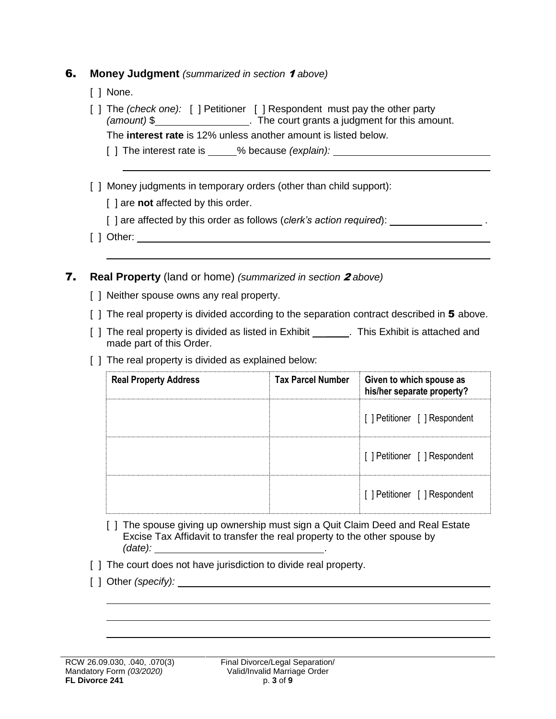#### 6. **Money Judgment** *(summarized in section* <sup>1</sup> *above)*

- [ ] None.
- [ ] The *(check one):* [ ] Petitioner [ ] Respondent must pay the other party *(amount)* \$\_\_\_\_\_\_\_\_\_\_\_\_\_\_\_\_\_\_\_\_\_. The court grants a judgment for this amount.

The **interest rate** is 12% unless another amount is listed below.

- [ ] The interest rate is % because *(explain):*
- [] Money judgments in temporary orders (other than child support):
	- [ ] are **not** affected by this order.
	- [] are affected by this order as follows (*clerk's action required*): \_\_\_\_\_\_\_\_\_\_\_\_\_\_\_\_\_\_\_.
- [ ] Other:
- 7. **Real Property** (land or home) *(summarized in section* <sup>2</sup> *above)*
	- [ ] Neither spouse owns any real property.
	- $\lceil \cdot \rceil$  The real property is divided according to the separation contract described in 5 above.
	- [ ] The real property is divided as listed in Exhibit [10]. This Exhibit is attached and made part of this Order.
	- [ ] The real property is divided as explained below:

| <b>Real Property Address</b> | <b>Tax Parcel Number</b> | Given to which spouse as<br>his/her separate property? |
|------------------------------|--------------------------|--------------------------------------------------------|
|                              |                          | [ ] Petitioner [ ] Respondent                          |
|                              |                          | [ ] Petitioner [ ] Respondent                          |
|                              |                          | [ ] Petitioner [ ] Respondent                          |

- [ ] The spouse giving up ownership must sign a Quit Claim Deed and Real Estate Excise Tax Affidavit to transfer the real property to the other spouse by *(date):* .
- [ ] The court does not have jurisdiction to divide real property.
- [ ] Other *(specify):*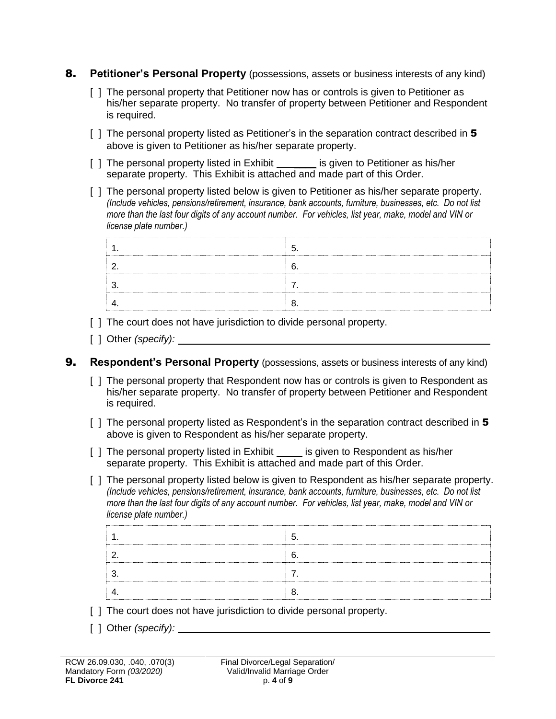- 8. **Petitioner's Personal Property** (possessions, assets or business interests of any kind)
	- [ ] The personal property that Petitioner now has or controls is given to Petitioner as his/her separate property. No transfer of property between Petitioner and Respondent is required.
	- [ ] The personal property listed as Petitioner's in the separation contract described in 5 above is given to Petitioner as his/her separate property.
	- [ ] The personal property listed in Exhibit \_\_\_\_\_\_ is given to Petitioner as his/her separate property. This Exhibit is attached and made part of this Order.
	- [ ] The personal property listed below is given to Petitioner as his/her separate property. *(Include vehicles, pensions/retirement, insurance, bank accounts, furniture, businesses, etc. Do not list more than the last four digits of any account number. For vehicles, list year, make, model and VIN or license plate number.)*

- [] The court does not have jurisdiction to divide personal property.
- [ ] Other *(specify):*

#### 9. **Respondent's Personal Property** (possessions, assets or business interests of any kind)

- [ ] The personal property that Respondent now has or controls is given to Respondent as his/her separate property. No transfer of property between Petitioner and Respondent is required.
- [ ] The personal property listed as Respondent's in the separation contract described in 5 above is given to Respondent as his/her separate property.
- [ ] The personal property listed in Exhibit is given to Respondent as his/her separate property. This Exhibit is attached and made part of this Order.
- [ ] The personal property listed below is given to Respondent as his/her separate property. *(Include vehicles, pensions/retirement, insurance, bank accounts, furniture, businesses, etc. Do not list more than the last four digits of any account number. For vehicles, list year, make, model and VIN or license plate number.)*

- [] The court does not have jurisdiction to divide personal property.
- [ ] Other *(specify):*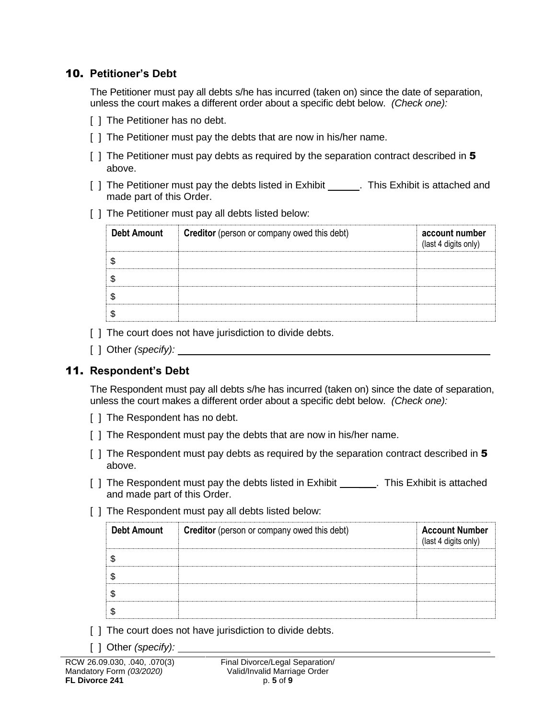#### 10. **Petitioner's Debt**

The Petitioner must pay all debts s/he has incurred (taken on) since the date of separation, unless the court makes a different order about a specific debt below. *(Check one):*

- [ ] The Petitioner has no debt.
- [] The Petitioner must pay the debts that are now in his/her name.
- [ ] The Petitioner must pay debts as required by the separation contract described in 5 above.
- [ ] The Petitioner must pay the debts listed in Exhibit \_\_\_\_\_\_. This Exhibit is attached and made part of this Order.
- [ ] The Petitioner must pay all debts listed below:

| <b>Debt Amount</b> | <b>Creditor</b> (person or company owed this debt) |  |
|--------------------|----------------------------------------------------|--|
|                    |                                                    |  |
|                    |                                                    |  |
|                    |                                                    |  |
|                    |                                                    |  |

- [] The court does not have jurisdiction to divide debts.
- [ ] Other *(specify):*

#### 11. **Respondent's Debt**

The Respondent must pay all debts s/he has incurred (taken on) since the date of separation, unless the court makes a different order about a specific debt below. *(Check one):*

- [ ] The Respondent has no debt.
- [] The Respondent must pay the debts that are now in his/her name.
- [ ] The Respondent must pay debts as required by the separation contract described in 5 above.
- [ ] The Respondent must pay the debts listed in Exhibit \_\_\_\_\_\_. This Exhibit is attached and made part of this Order.
- [ ] The Respondent must pay all debts listed below:

| <b>Creditor</b> (person or company owed this debt)<br><b>Debt Amount</b> |  | <b>Account Number</b><br>(last 4 digits only) |
|--------------------------------------------------------------------------|--|-----------------------------------------------|
|                                                                          |  |                                               |
|                                                                          |  |                                               |
|                                                                          |  |                                               |
|                                                                          |  |                                               |

- [] The court does not have jurisdiction to divide debts.
- [ ] Other *(specify):*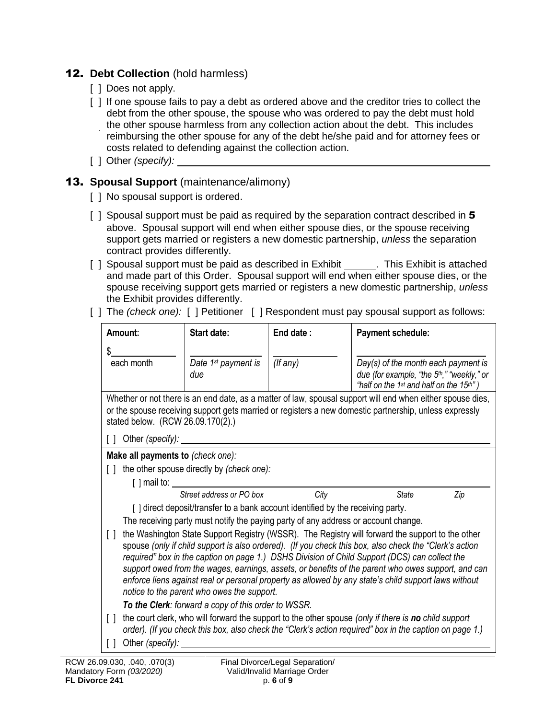## 12. **Debt Collection** (hold harmless)

- [ ] Does not apply.
- [ ] If one spouse fails to pay a debt as ordered above and the creditor tries to collect the debt from the other spouse, the spouse who was ordered to pay the debt must hold the other spouse harmless from any collection action about the debt. This includes reimbursing the other spouse for any of the debt he/she paid and for attorney fees or costs related to defending against the collection action.
- [ ] Other *(specify):*

### 13. **Spousal Support** (maintenance/alimony)

- [ ] No spousal support is ordered.
- [ ] Spousal support must be paid as required by the separation contract described in 5 above. Spousal support will end when either spouse dies, or the spouse receiving support gets married or registers a new domestic partnership, *unless* the separation contract provides differently.
- [ ] Spousal support must be paid as described in Exhibit \_\_\_\_\_\_. This Exhibit is attached and made part of this Order. Spousal support will end when either spouse dies, or the spouse receiving support gets married or registers a new domestic partnership, *unless* the Exhibit provides differently.
- [ ] The *(check one):* [ ] Petitioner [ ] Respondent must pay spousal support as follows:

| Amount:                                                                                                                                                                                                                                                                                                                                                                                                                                                                                                                                                                           |                                                                                                                                                                                                                                                           | Start date:                                                                     | End date:     | <b>Payment schedule:</b>                                                                        |  |  |
|-----------------------------------------------------------------------------------------------------------------------------------------------------------------------------------------------------------------------------------------------------------------------------------------------------------------------------------------------------------------------------------------------------------------------------------------------------------------------------------------------------------------------------------------------------------------------------------|-----------------------------------------------------------------------------------------------------------------------------------------------------------------------------------------------------------------------------------------------------------|---------------------------------------------------------------------------------|---------------|-------------------------------------------------------------------------------------------------|--|--|
| S.<br>each month                                                                                                                                                                                                                                                                                                                                                                                                                                                                                                                                                                  |                                                                                                                                                                                                                                                           | Date 1 <sup>st</sup> payment is<br>due                                          | $($ f any $)$ | $Day(s)$ of the month each payment is<br>due (for example, "the 5 <sup>th</sup> ," "weekly," or |  |  |
|                                                                                                                                                                                                                                                                                                                                                                                                                                                                                                                                                                                   |                                                                                                                                                                                                                                                           |                                                                                 |               | "half on the 1 <sup>st</sup> and half on the 15 <sup>th"</sup> )                                |  |  |
|                                                                                                                                                                                                                                                                                                                                                                                                                                                                                                                                                                                   | Whether or not there is an end date, as a matter of law, spousal support will end when either spouse dies,<br>or the spouse receiving support gets married or registers a new domestic partnership, unless expressly<br>stated below. (RCW 26.09.170(2).) |                                                                                 |               |                                                                                                 |  |  |
| Ιl                                                                                                                                                                                                                                                                                                                                                                                                                                                                                                                                                                                | Other (specify):                                                                                                                                                                                                                                          |                                                                                 |               |                                                                                                 |  |  |
|                                                                                                                                                                                                                                                                                                                                                                                                                                                                                                                                                                                   | Make all payments to (check one):                                                                                                                                                                                                                         |                                                                                 |               |                                                                                                 |  |  |
|                                                                                                                                                                                                                                                                                                                                                                                                                                                                                                                                                                                   |                                                                                                                                                                                                                                                           | the other spouse directly by (check one):                                       |               |                                                                                                 |  |  |
|                                                                                                                                                                                                                                                                                                                                                                                                                                                                                                                                                                                   | $\lceil$ $\rceil$ mail to:                                                                                                                                                                                                                                | Street address or PO box                                                        | City          |                                                                                                 |  |  |
|                                                                                                                                                                                                                                                                                                                                                                                                                                                                                                                                                                                   |                                                                                                                                                                                                                                                           | [] direct deposit/transfer to a bank account identified by the receiving party. |               | <b>State</b><br>Zip                                                                             |  |  |
|                                                                                                                                                                                                                                                                                                                                                                                                                                                                                                                                                                                   |                                                                                                                                                                                                                                                           |                                                                                 |               | The receiving party must notify the paying party of any address or account change.              |  |  |
| the Washington State Support Registry (WSSR). The Registry will forward the support to the other<br>$\Box$<br>spouse (only if child support is also ordered). (If you check this box, also check the "Clerk's action<br>required" box in the caption on page 1.) DSHS Division of Child Support (DCS) can collect the<br>support owed from the wages, earnings, assets, or benefits of the parent who owes support, and can<br>enforce liens against real or personal property as allowed by any state's child support laws without<br>notice to the parent who owes the support. |                                                                                                                                                                                                                                                           |                                                                                 |               |                                                                                                 |  |  |
|                                                                                                                                                                                                                                                                                                                                                                                                                                                                                                                                                                                   | To the Clerk: forward a copy of this order to WSSR.                                                                                                                                                                                                       |                                                                                 |               |                                                                                                 |  |  |
| $\lceil$ $\rceil$                                                                                                                                                                                                                                                                                                                                                                                                                                                                                                                                                                 | the court clerk, who will forward the support to the other spouse (only if there is no child support<br>order). (If you check this box, also check the "Clerk's action required" box in the caption on page 1.)                                           |                                                                                 |               |                                                                                                 |  |  |
| $\lceil$ $\rceil$                                                                                                                                                                                                                                                                                                                                                                                                                                                                                                                                                                 | Other (specify):                                                                                                                                                                                                                                          |                                                                                 |               |                                                                                                 |  |  |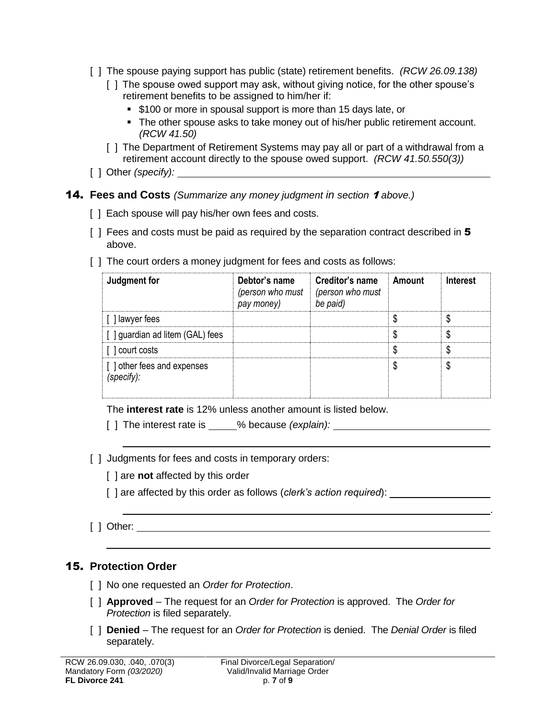- [ ] The spouse paying support has public (state) retirement benefits. *(RCW 26.09.138)*
	- [ ] The spouse owed support may ask, without giving notice, for the other spouse's retirement benefits to be assigned to him/her if:
		- **\$100 or more in spousal support is more than 15 days late, or**
		- The other spouse asks to take money out of his/her public retirement account. *(RCW 41.50)*
	- [ ] The Department of Retirement Systems may pay all or part of a withdrawal from a retirement account directly to the spouse owed support. *(RCW 41.50.550(3))*
- [ ] Other *(specify):*
- 14. **Fees and Costs** *(Summarize any money judgment in section* <sup>1</sup> *above.)*
	- [ ] Each spouse will pay his/her own fees and costs.
	- [ ] Fees and costs must be paid as required by the separation contract described in 5 above.
	- [] The court orders a money judgment for fees and costs as follows:

| Judgment for                             | Debtor's name<br>pay money) | Creditor's name Amount<br>(person who must $ $ (person who must<br>be paid) | <b>Interest</b> |
|------------------------------------------|-----------------------------|-----------------------------------------------------------------------------|-----------------|
| [ ] lawyer fees                          |                             |                                                                             |                 |
| [ ] guardian ad litem (GAL) fees         |                             |                                                                             |                 |
| [ ] court costs                          |                             |                                                                             |                 |
| [] other fees and expenses<br>(specify): |                             |                                                                             |                 |

.

The **interest rate** is 12% unless another amount is listed below.

[ ] The interest rate is \_\_\_\_\_% because *(explain):* \_\_\_\_\_\_\_\_\_\_\_\_\_\_\_\_\_\_\_\_\_\_\_\_\_\_\_\_

- [ ] Judgments for fees and costs in temporary orders:
	- [ ] are **not** affected by this order
	- [] are affected by this order as follows (*clerk's action required*):
- [ ] Other:

#### 15. **Protection Order**

- [ ] No one requested an *Order for Protection*.
- [ ] **Approved** The request for an *Order for Protection* is approved. The *Order for Protection* is filed separately.
- [ ] **Denied** The request for an *Order for Protection* is denied. The *Denial Order* is filed separately.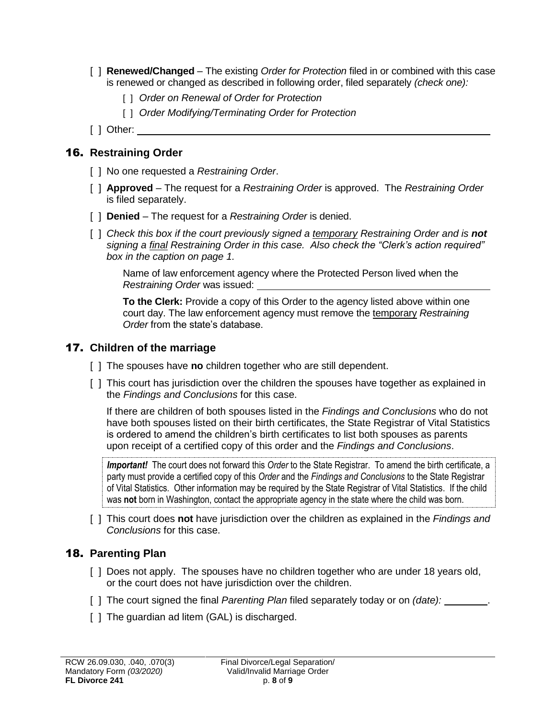- [ ] **Renewed/Changed** The existing *Order for Protection* filed in or combined with this case is renewed or changed as described in following order, filed separately *(check one):*
	- [ ] *Order on Renewal of Order for Protection*
	- [ ] *Order Modifying/Terminating Order for Protection*
- [ ] Other: \_\_

#### 16. **Restraining Order**

- [ ] No one requested a *Restraining Order*.
- [ ] **Approved** The request for a *Restraining Order* is approved. The *Restraining Order* is filed separately.
- [ ] **Denied** The request for a *Restraining Order* is denied.
- [ ] *Check this box if the court previously signed a temporary Restraining Order and is not signing a final Restraining Order in this case. Also check the "Clerk's action required" box in the caption on page 1.*

Name of law enforcement agency where the Protected Person lived when the *Restraining Order* was issued:

**To the Clerk:** Provide a copy of this Order to the agency listed above within one court day. The law enforcement agency must remove the temporary *Restraining Order* from the state's database.

#### 17. **Children of the marriage**

- [ ] The spouses have **no** children together who are still dependent.
- [ ] This court has jurisdiction over the children the spouses have together as explained in the *Findings and Conclusions* for this case.

If there are children of both spouses listed in the *Findings and Conclusions* who do not have both spouses listed on their birth certificates, the State Registrar of Vital Statistics is ordered to amend the children's birth certificates to list both spouses as parents upon receipt of a certified copy of this order and the *Findings and Conclusions*.

*Important!* The court does not forward this *Order* to the State Registrar. To amend the birth certificate, a party must provide a certified copy of this *Order* and the *Findings and Conclusions* to the State Registrar of Vital Statistics*.* Other information may be required by the State Registrar of Vital Statistics. If the child was **not** born in Washington, contact the appropriate agency in the state where the child was born.

[ ] This court does **not** have jurisdiction over the children as explained in the *Findings and Conclusions* for this case.

#### 18. **Parenting Plan**

- [ ] Does not apply. The spouses have no children together who are under 18 years old, or the court does not have jurisdiction over the children.
- [ ] The court signed the final *Parenting Plan* filed separately today or on *(date):* .
- [ ] The guardian ad litem (GAL) is discharged.